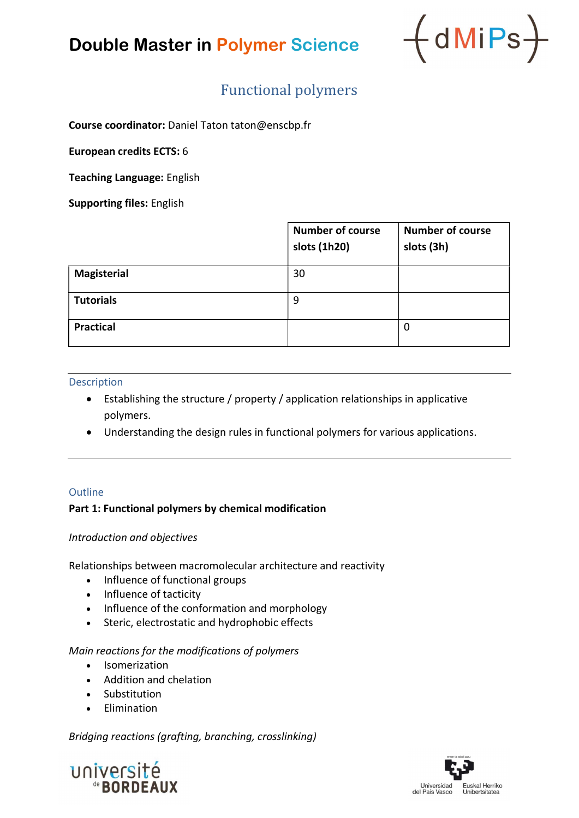

### Functional polymers

Course coordinator: Daniel Taton taton@enscbp.fr

European credits ECTS: 6

Teaching Language: English

Supporting files: English

|                    | <b>Number of course</b><br>slots (1h20) | <b>Number of course</b><br>slots (3h) |
|--------------------|-----------------------------------------|---------------------------------------|
| <b>Magisterial</b> | 30                                      |                                       |
| <b>Tutorials</b>   | 9                                       |                                       |
| <b>Practical</b>   |                                         | 0                                     |

#### Description

- Establishing the structure / property / application relationships in applicative polymers.
- Understanding the design rules in functional polymers for various applications.

#### **Outline**

#### Part 1: Functional polymers by chemical modification

#### Introduction and objectives

Relationships between macromolecular architecture and reactivity

- Influence of functional groups
- Influence of tacticity
- Influence of the conformation and morphology
- Steric, electrostatic and hydrophobic effects

#### Main reactions for the modifications of polymers

- Isomerization
- Addition and chelation
- Substitution
- **•** Elimination

Bridging reactions (grafting, branching, crosslinking)



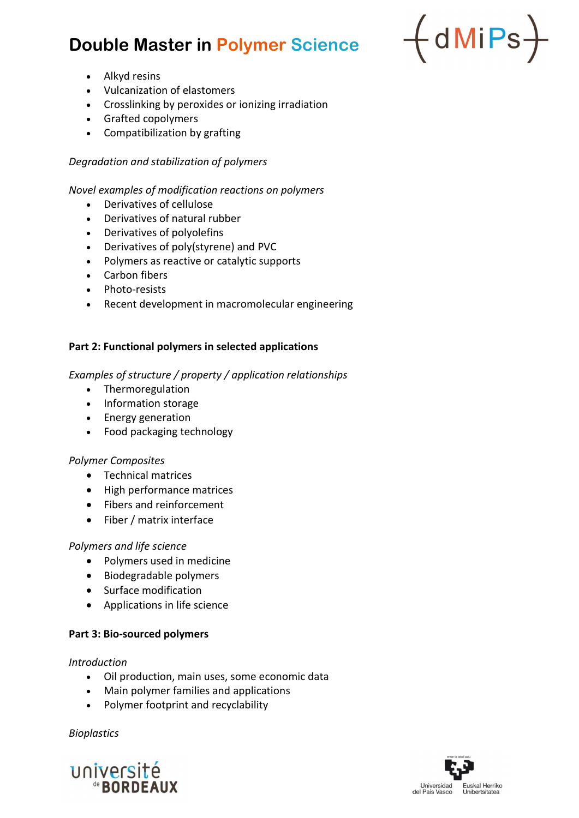

- Alkyd resins
- Vulcanization of elastomers
- Crosslinking by peroxides or ionizing irradiation
- Grafted copolymers
- Compatibilization by grafting

### Degradation and stabilization of polymers

#### Novel examples of modification reactions on polymers

- Derivatives of cellulose
- Derivatives of natural rubber
- Derivatives of polyolefins
- Derivatives of poly(styrene) and PVC
- Polymers as reactive or catalytic supports
- Carbon fibers
- Photo-resists
- Recent development in macromolecular engineering

#### Part 2: Functional polymers in selected applications

Examples of structure / property / application relationships

- Thermoregulation
- Information storage
- Energy generation
- Food packaging technology

#### Polymer Composites

- Technical matrices
- High performance matrices
- Fibers and reinforcement
- Fiber / matrix interface

#### Polymers and life science

- Polymers used in medicine
- Biodegradable polymers
- Surface modification
- Applications in life science

### Part 3: Bio-sourced polymers

#### Introduction

- Oil production, main uses, some economic data
- Main polymer families and applications
- Polymer footprint and recyclability

Bioplastics



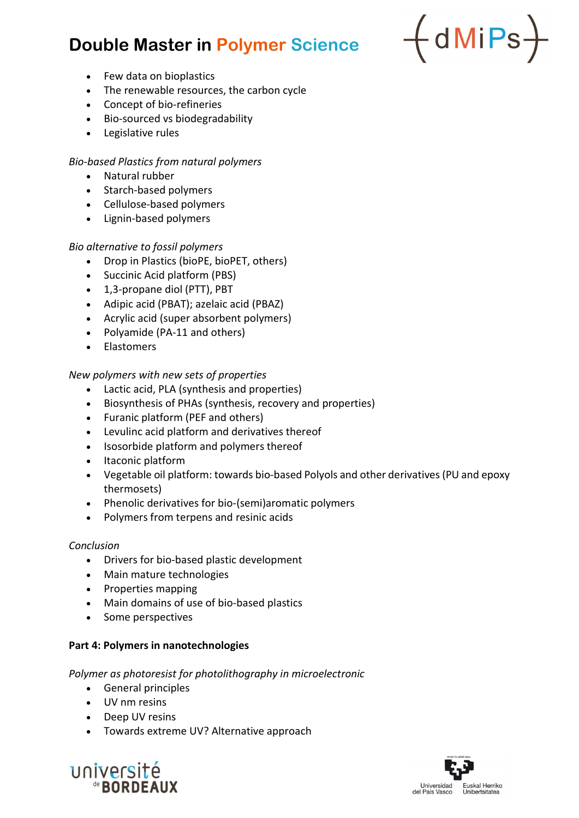

- Few data on bioplastics
- The renewable resources, the carbon cycle
- Concept of bio-refineries
- Bio-sourced vs biodegradability
- Legislative rules

#### Bio-based Plastics from natural polymers

- Natural rubber
- Starch-based polymers
- Cellulose-based polymers
- Lignin-based polymers

#### Bio alternative to fossil polymers

- Drop in Plastics (bioPE, bioPET, others)
- Succinic Acid platform (PBS)
- 1,3-propane diol (PTT), PBT
- Adipic acid (PBAT); azelaic acid (PBAZ)
- Acrylic acid (super absorbent polymers)
- Polyamide (PA-11 and others)
- Elastomers

#### New polymers with new sets of properties

- Lactic acid, PLA (synthesis and properties)
- Biosynthesis of PHAs (synthesis, recovery and properties)
- Furanic platform (PEF and others)
- Levulinc acid platform and derivatives thereof
- Isosorbide platform and polymers thereof
- Itaconic platform
- Vegetable oil platform: towards bio-based Polyols and other derivatives (PU and epoxy thermosets)
- Phenolic derivatives for bio-(semi)aromatic polymers
- Polymers from terpens and resinic acids

#### Conclusion

- Drivers for bio-based plastic development
- Main mature technologies
- Properties mapping
- Main domains of use of bio-based plastics
- Some perspectives

#### Part 4: Polymers in nanotechnologies

#### Polymer as photoresist for photolithography in microelectronic

- General principles
- UV nm resins
- Deep UV resins
- Towards extreme UV? Alternative approach